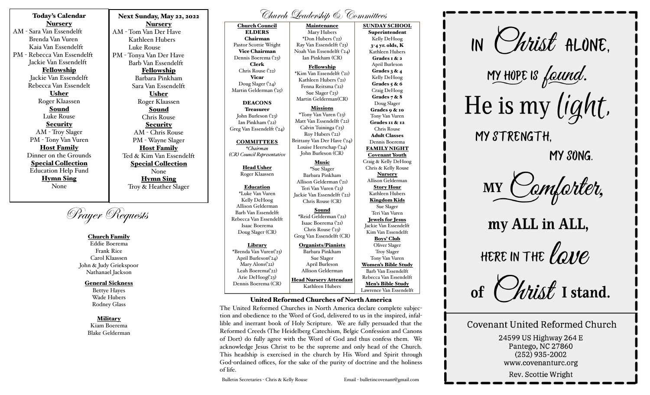Nursery AM - Sara Van Essendelft Brenda Van Vuren Kaia Van Essendelft PM - Rebecca Van Essendelft Jackie Van Essendelft Fellowship Jackie Van Essendelft Rebecca Van Essendelt Usher Roger Klaassen Sound Luke Rouse **Security** AM - Troy Slager PM - Tony Van Vuren Host Family Dinner on the Grounds Special Collection Education Help Fund Hymn Sing None

Today's Calendar

Next Sunday, May 22, 2022 Nursery AM - Tom Van Der Have Kathleen Hubers Luke Rouse PM - Tonya Van Der Have Barb Van Essendelft Fellowship Barbara Pinkham Sara Van Essendelft Usher Roger Klaassen Sound Chris Rouse **Security** AM - Chris Rouse PM - Wayne Slager Host Family Ted & Kim Van Essendelft Special Collection None Hymn Sing Troy & Heather Slager

Prayer Requests

## Church Family

Eddie Boerema Frank Rice Carol Klaassen John & Judy Griekspoor Nathanael Jackson

## General Sickness

Bettye Hayes Wade Hubers Rodney Glass

## Military

Kiam Boerema Blake Gelderman Church Leadership & Committees

Church Council ELDERS Chairman Pastor Scottie Wright Vice Chairman Dennis Boerema ('23) Clerk Chris Rouse ('22) Vicar Doug Slager ('24) Martin Gelderman ('25) DEACONS Treasurer John Burleson ('23) Ian Pinkham ('22) Greg Van Essendelft ('24) **COMMITTEES** *\*Chairman (CR) Council Representative*  Head Usher Roger Klaassen Education \*Luke Van Vuren Kelly DeHoog Allison Gelderman Barb Van Essendelft Rebecca Van Essendelft Isaac Boerema Doug Slager (CR) Library \*Brenda Van Vuren('23) April Burleson('24) Mary Alons('22) Leah Boerema<sup>('22)</sup> Arie DeHoog('23) Dennis Boerema (CR) Maintenance Mary Hubers \*Don Hubers ('22) Ray Van Essendelft ('23) Noah Van Essendelft ('24) Ian Pinkham (CR) Fellowship \*Kim Van Essendelft ('21) Kathleen Hubers ('21) Fenna Reitsma ('22) Sue Slager ('23) Martin Gelderman(CR) Missions \*Tony Van Vuren ('23) Matt Van Essendelft ('22) Calvin Tuininga ('23) Roy Hubers ('22) Brittany Van Der Have ('24) Louise Heerschap ('24) John Burleson (CR) Music \*Sue Slager Barbara Pinkham Allison Gelderman ('21) Teri Van Vuren ('23) Jackie Van Essendelft ('22) Chris Rouse (CR) Sound \*Reid Gelderman ('22) Isaac Boerema ('21) Chris Rouse ('23) Greg Van Essendelft (CR) Organists/Pianists Barbara Pinkham Sue Slager April Burleson Allison Gelderman Head Nursery Attendant Kathleen Hubers SUNDAY SCHOOL Superintendent Kelly DeHoog 3-4 yr. olds, K Kathleen Hubers Grades 1 & 2 April Burleson Grades  $3 & 4$ Kelly DeHoog Grades  $5 & 6$ Craig DeHoog Grades 7 & 8 Doug Slager Grades 9 & 10 Tony Van Vuren Grades 11 & 12 Chris Rouse Adult Classes Dennis Boerema **FAMILY NIGHT** Covenant Youth Craig & Kelly DeHoog Chris & Kelly Rouse Nursery Allison Gelderman Story Hour Kathleen Hubers Kingdom Kids Sue Slager Teri Van Vuren Jewels for Jesus Jackie Van Essendelft Kim Van Essendelft Boys' Club Oliver Slager Troy Slager Tony Van Vuren Women's Bible Study Barb Van Essendelft Rebecca Van Essendelft Men's Bible Study Lawrence Van Essendelft

### United Reformed Churches of North America

The United Reformed Churches in North America declare complete subjection and obedience to the Word of God, delivered to us in the inspired, infallible and inerrant book of Holy Scripture. We are fully persuaded that the Reformed Creeds (The Heidelberg Catechism, Belgic Confession and Canons of Dort) do fully agree with the Word of God and thus confess them. We acknowledge Jesus Christ to be the supreme and only head of the Church. This headship is exercised in the church by His Word and Spirit through God-ordained offices, for the sake of the purity of doctrine and the holiness of life.

Bulletin Secretaries - Chris & Kelly Rouse Email - bulletincovenant@gmail.com



MY HOPE IS faund. He is my light.

MY STRENGTH.

MY SONG.

MY Camfarter,

my ALL in ALL, HERE IN THE  $\ell \omega\nu e$ 

 $\mathcal{U}$ tis $\ell$  I stand.

# **Covenant United Reformed Church**

24599 US Highway 264 E Pantego, NC 27860  $(252)$  935-2002 www.covenanturc.org

Rev. Scottie Wright